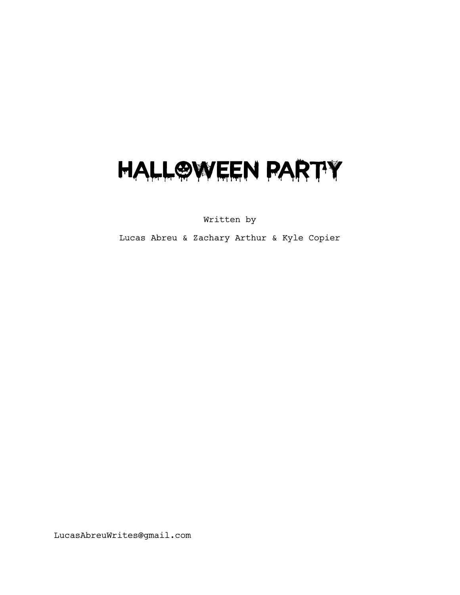# HALL@WEEN PARTY

Written by

Lucas Abreu & Zachary Arthur & Kyle Copier

LucasAbreuWrites@gmail.com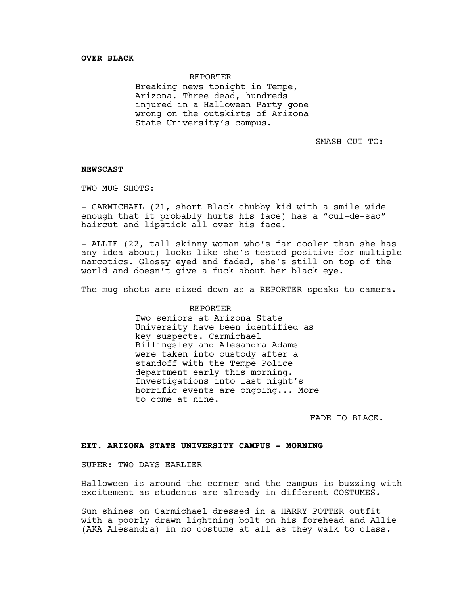## REPORTER

Breaking news tonight in Tempe, Arizona. Three dead, hundreds injured in a Halloween Party gone wrong on the outskirts of Arizona State University's campus.

SMASH CUT TO:

# **NEWSCAST**

TWO MUG SHOTS:

- CARMICHAEL (21, short Black chubby kid with a smile wide enough that it probably hurts his face) has a "cul-de-sac" haircut and lipstick all over his face.

- ALLIE (22, tall skinny woman who's far cooler than she has any idea about) looks like she's tested positive for multiple narcotics. Glossy eyed and faded, she's still on top of the world and doesn't give a fuck about her black eye.

The mug shots are sized down as a REPORTER speaks to camera.

## REPORTER

Two seniors at Arizona State University have been identified as key suspects. Carmichael Billingsley and Alesandra Adams were taken into custody after a standoff with the Tempe Police<br>department early this morning. Investigations into last night's horrific events are ongoing... More to come at nine.

FADE TO BLACK.

## **EXT. ARIZONA STATE UNIVERSITY CAMPUS - MORNING**

SUPER: TWO DAYS EARLIER

Halloween is around the corner and the campus is buzzing with excitement as students are already in different COSTUMES.

Sun shines on Carmichael dressed in a HARRY POTTER outfit with a poorly drawn lightning bolt on his forehead and Allie (AKA Alesandra) in no costume at all as they walk to class.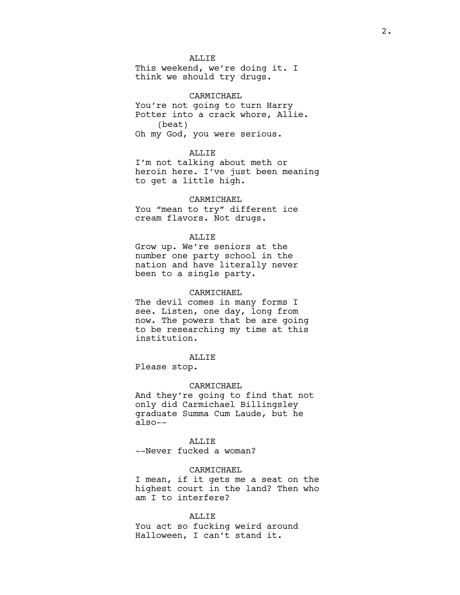# ALLIE

This weekend, we're doing it. I think we should try drugs.

## CARMICHAEL

You're not going to turn Harry Potter into a crack whore, Allie. (beat) Oh my God, you were serious.

## ALLIE

I'm not talking about meth or heroin here. I've just been meaning to get a little high.

#### CARMICHAEL

You "mean to try" different ice cream flavors. Not drugs.

## ALLIE

Grow up. We're seniors at the number one party school in the nation and have literally never been to a single party.

## CARMICHAEL

The devil comes in many forms I see. Listen, one day, long from now. The powers that be are going to be researching my time at this institution.

# ALLIE

Please stop.

#### CARMICHAEL

And they're going to find that not only did Carmichael Billingsley graduate Summa Cum Laude, but he also--

## ALLIE

--Never fucked a woman?

# CARMICHAEL

I mean, if it gets me a seat on the highest court in the land? Then who am I to interfere?

# ALLIE

You act so fucking weird around Halloween, I can't stand it.